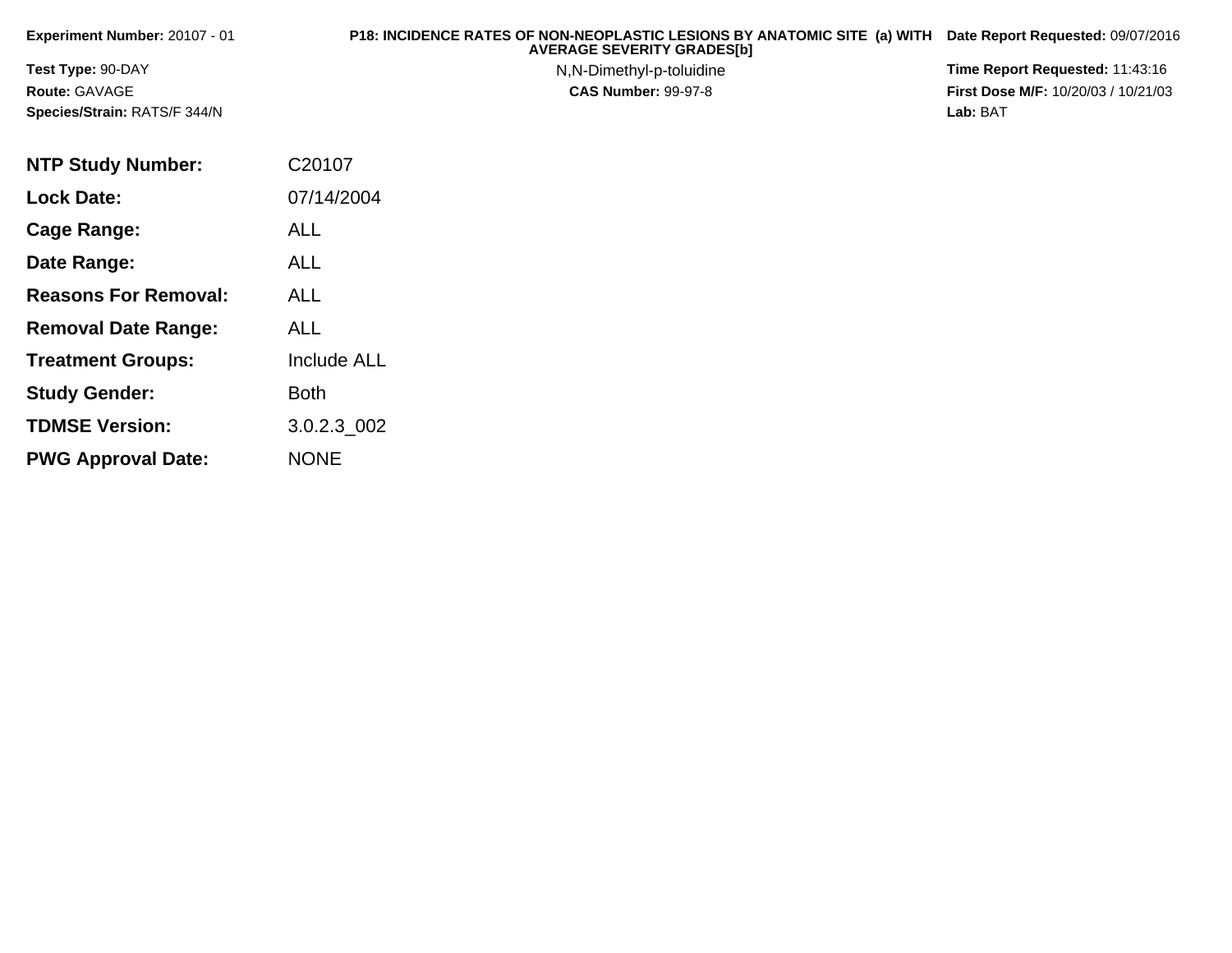| Experiment Number: 20107 - 01 | P18: INCIDENCE RATES OF NON-NEOPLASTIC LESIONS BY ANATOMIC SITE (a) WITH<br><b>AVERAGE SEVERITY GRADES[b]</b> | Date Report Requested: 09/07/2016          |
|-------------------------------|---------------------------------------------------------------------------------------------------------------|--------------------------------------------|
| <b>Test Type: 90-DAY</b>      | N, N-Dimethyl-p-toluidine                                                                                     | Time Report Requested: 11:43:16            |
| <b>Route: GAVAGE</b>          | <b>CAS Number: 99-97-8</b>                                                                                    | <b>First Dose M/F: 10/20/03 / 10/21/03</b> |
| Species/Strain: RATS/F 344/N  |                                                                                                               | Lab: BAT                                   |
|                               |                                                                                                               |                                            |

| <b>NTP Study Number:</b>    | C20107             |
|-----------------------------|--------------------|
| <b>Lock Date:</b>           | 07/14/2004         |
| Cage Range:                 | <b>ALL</b>         |
| Date Range:                 | ALL                |
| <b>Reasons For Removal:</b> | <b>ALL</b>         |
| <b>Removal Date Range:</b>  | ALL                |
| <b>Treatment Groups:</b>    | <b>Include ALL</b> |
| <b>Study Gender:</b>        | Both               |
| <b>TDMSE Version:</b>       | 3.0.2.3 002        |
| <b>PWG Approval Date:</b>   | <b>NONE</b>        |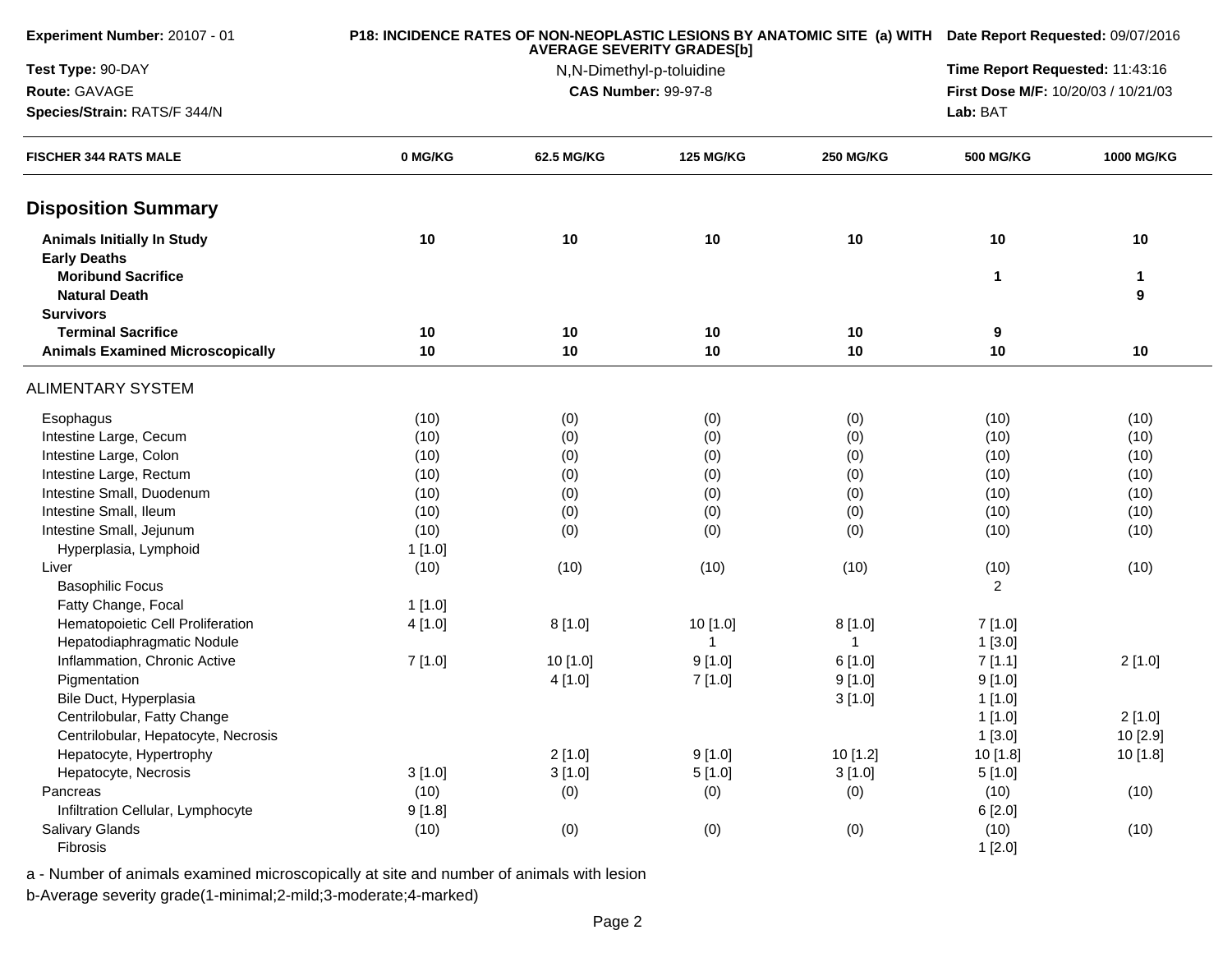| <b>Experiment Number: 20107 - 01</b>                     |          |                                     | <b>AVERAGE SEVERITY GRADES[b]</b> |                  | P18: INCIDENCE RATES OF NON-NEOPLASTIC LESIONS BY ANATOMIC SITE (a) WITH Date Report Requested: 09/07/2016 |            |  |
|----------------------------------------------------------|----------|-------------------------------------|-----------------------------------|------------------|------------------------------------------------------------------------------------------------------------|------------|--|
| Test Type: 90-DAY                                        |          | N,N-Dimethyl-p-toluidine            |                                   |                  |                                                                                                            |            |  |
| Route: GAVAGE                                            |          | First Dose M/F: 10/20/03 / 10/21/03 |                                   |                  |                                                                                                            |            |  |
| Species/Strain: RATS/F 344/N                             |          |                                     |                                   |                  | Lab: BAT                                                                                                   |            |  |
| <b>FISCHER 344 RATS MALE</b>                             | 0 MG/KG  | 62.5 MG/KG                          | <b>125 MG/KG</b>                  | <b>250 MG/KG</b> | <b>500 MG/KG</b>                                                                                           | 1000 MG/KG |  |
| <b>Disposition Summary</b>                               |          |                                     |                                   |                  |                                                                                                            |            |  |
| <b>Animals Initially In Study</b><br><b>Early Deaths</b> | 10       | 10                                  | 10                                | 10               | 10                                                                                                         | 10         |  |
| <b>Moribund Sacrifice</b><br><b>Natural Death</b>        |          |                                     |                                   |                  | 1                                                                                                          | 1<br>9     |  |
| <b>Survivors</b><br><b>Terminal Sacrifice</b>            |          |                                     |                                   |                  |                                                                                                            |            |  |
| <b>Animals Examined Microscopically</b>                  | 10<br>10 | 10<br>10                            | 10<br>10                          | 10<br>10         | 9<br>10                                                                                                    | 10         |  |
|                                                          |          |                                     |                                   |                  |                                                                                                            |            |  |
| <b>ALIMENTARY SYSTEM</b>                                 |          |                                     |                                   |                  |                                                                                                            |            |  |
| Esophagus                                                | (10)     | (0)                                 | (0)                               | (0)              | (10)                                                                                                       | (10)       |  |
| Intestine Large, Cecum                                   | (10)     | (0)                                 | (0)                               | (0)              | (10)                                                                                                       | (10)       |  |
| Intestine Large, Colon                                   | (10)     | (0)                                 | (0)                               | (0)              | (10)                                                                                                       | (10)       |  |
| Intestine Large, Rectum                                  | (10)     | (0)                                 | (0)                               | (0)              | (10)                                                                                                       | (10)       |  |
| Intestine Small, Duodenum                                | (10)     | (0)                                 | (0)                               | (0)              | (10)                                                                                                       | (10)       |  |
| Intestine Small, Ileum                                   | (10)     | (0)                                 | (0)                               | (0)              | (10)                                                                                                       | (10)       |  |
| Intestine Small, Jejunum                                 | (10)     | (0)                                 | (0)                               | (0)              | (10)                                                                                                       | (10)       |  |
| Hyperplasia, Lymphoid                                    | 1[1.0]   |                                     |                                   |                  |                                                                                                            |            |  |
| Liver                                                    | (10)     | (10)                                | (10)                              | (10)             | (10)                                                                                                       | (10)       |  |
| <b>Basophilic Focus</b>                                  |          |                                     |                                   |                  | $\overline{2}$                                                                                             |            |  |
| Fatty Change, Focal                                      | 1[1.0]   |                                     |                                   |                  |                                                                                                            |            |  |
| Hematopoietic Cell Proliferation                         | 4 [1.0]  | 8[1.0]                              | 10 [1.0]                          | 8[1.0]           | 7[1.0]                                                                                                     |            |  |
| Hepatodiaphragmatic Nodule                               |          |                                     | -1                                | $\mathbf{1}$     | 1[3.0]                                                                                                     |            |  |
| Inflammation, Chronic Active                             | 7[1.0]   | 10 [1.0]                            | 9[1.0]                            | 6[1.0]           | 7[1.1]                                                                                                     | 2[1.0]     |  |
| Pigmentation                                             |          | 4[1.0]                              | 7 [1.0]                           | 9[1.0]           | 9[1.0]                                                                                                     |            |  |
| Bile Duct, Hyperplasia                                   |          |                                     |                                   | 3[1.0]           | 1[1.0]                                                                                                     |            |  |
| Centrilobular, Fatty Change                              |          |                                     |                                   |                  | 1[1.0]                                                                                                     | 2[1.0]     |  |
| Centrilobular, Hepatocyte, Necrosis                      |          |                                     |                                   |                  | 1[3.0]                                                                                                     | 10 [2.9]   |  |
| Hepatocyte, Hypertrophy                                  |          | 2[1.0]                              | 9[1.0]                            | 10 [1.2]         | 10 [1.8]                                                                                                   | 10 [1.8]   |  |
| Hepatocyte, Necrosis                                     | 3[1.0]   | 3[1.0]                              | 5[1.0]                            | 3[1.0]           | 5[1.0]                                                                                                     |            |  |
| Pancreas                                                 | (10)     | (0)                                 | (0)                               | (0)              | (10)                                                                                                       | (10)       |  |
| Infiltration Cellular, Lymphocyte                        | 9[1.8]   |                                     |                                   |                  | 6[2.0]                                                                                                     |            |  |
| <b>Salivary Glands</b><br>Fibrosis                       | (10)     | (0)                                 | (0)                               | (0)              | (10)                                                                                                       | (10)       |  |
|                                                          |          |                                     |                                   |                  | 1[2.0]                                                                                                     |            |  |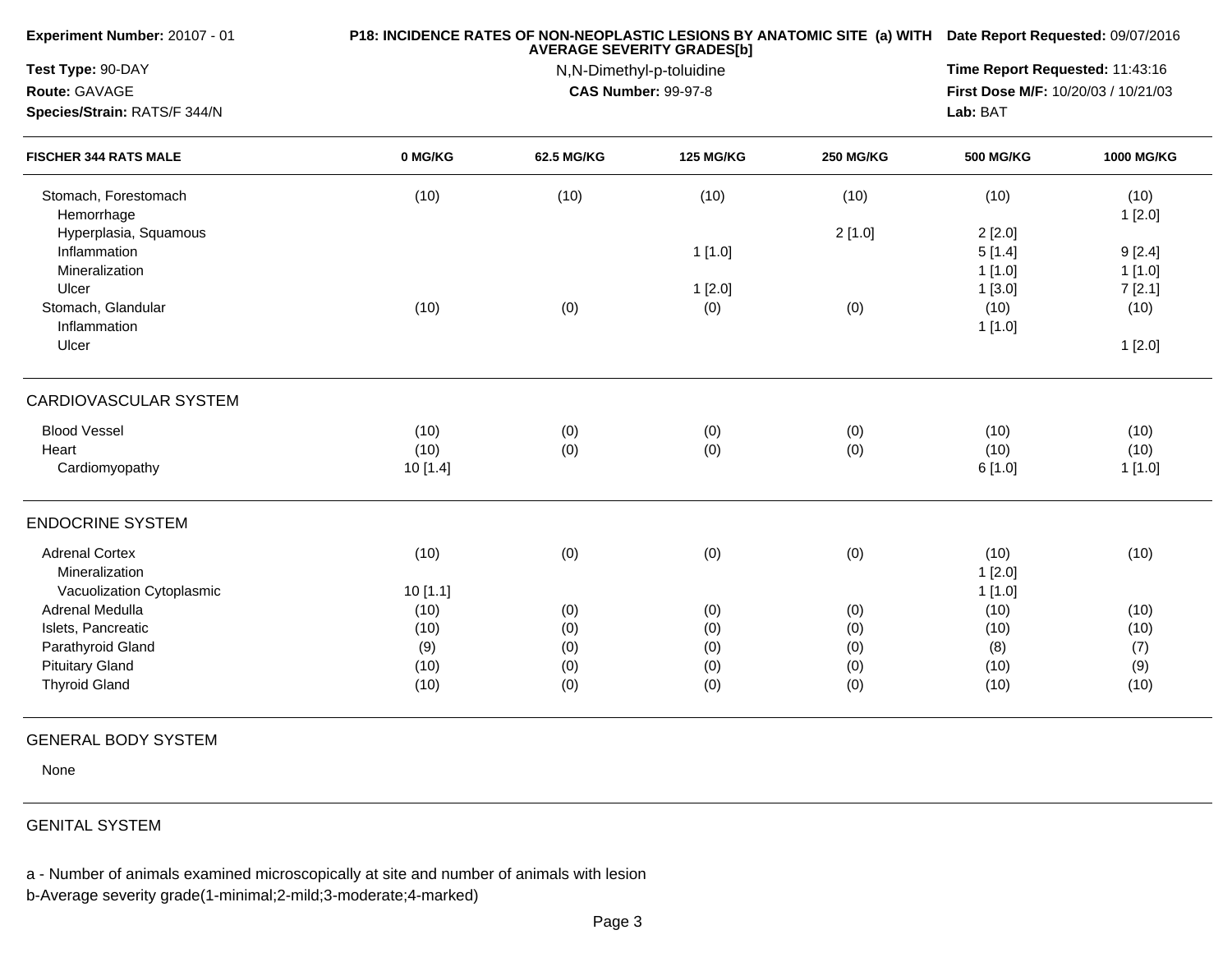| Experiment Number: 20107 - 01                                        |                 | P18: INCIDENCE RATES OF NON-NEOPLASTIC LESIONS BY ANATOMIC SITE (a) WITH Date Report Requested: 09/07/2016<br><b>AVERAGE SEVERITY GRADES[b]</b> |                  |                  |                            |                   |  |
|----------------------------------------------------------------------|-----------------|-------------------------------------------------------------------------------------------------------------------------------------------------|------------------|------------------|----------------------------|-------------------|--|
| Test Type: 90-DAY<br>Route: GAVAGE<br>Species/Strain: RATS/F 344/N   |                 | Time Report Requested: 11:43:16<br>First Dose M/F: 10/20/03 / 10/21/03<br>Lab: BAT                                                              |                  |                  |                            |                   |  |
| <b>FISCHER 344 RATS MALE</b>                                         | 0 MG/KG         | <b>62.5 MG/KG</b>                                                                                                                               | <b>125 MG/KG</b> | <b>250 MG/KG</b> | <b>500 MG/KG</b>           | <b>1000 MG/KG</b> |  |
| Stomach, Forestomach<br>Hemorrhage                                   | (10)            | (10)                                                                                                                                            | (10)             | (10)             | (10)                       | (10)<br>1[2.0]    |  |
| Hyperplasia, Squamous<br>Inflammation<br>Mineralization              |                 |                                                                                                                                                 | 1[1.0]           | 2[1.0]           | 2[2.0]<br>5[1.4]<br>1[1.0] | 9[2.4]<br>1[1.0]  |  |
| Ulcer<br>Stomach, Glandular<br>Inflammation                          | (10)            | (0)                                                                                                                                             | 1[2.0]<br>(0)    | (0)              | 1[3.0]<br>(10)<br>1[1.0]   | 7[2.1]<br>(10)    |  |
| Ulcer                                                                |                 |                                                                                                                                                 |                  |                  |                            | 1[2.0]            |  |
| CARDIOVASCULAR SYSTEM                                                |                 |                                                                                                                                                 |                  |                  |                            |                   |  |
| <b>Blood Vessel</b>                                                  | (10)            | (0)                                                                                                                                             | (0)              | (0)              | (10)                       | (10)              |  |
| Heart<br>Cardiomyopathy                                              | (10)<br>10[1.4] | (0)                                                                                                                                             | (0)              | (0)              | (10)<br>6[1.0]             | (10)<br>1[1.0]    |  |
| <b>ENDOCRINE SYSTEM</b>                                              |                 |                                                                                                                                                 |                  |                  |                            |                   |  |
| <b>Adrenal Cortex</b><br>Mineralization<br>Vacuolization Cytoplasmic | (10)<br>10[1.1] | (0)                                                                                                                                             | (0)              | (0)              | (10)<br>1[2.0]<br>1[1.0]   | (10)              |  |
| Adrenal Medulla                                                      | (10)            | (0)                                                                                                                                             | (0)              | (0)              | (10)                       | (10)              |  |
| Islets, Pancreatic                                                   | (10)            | (0)                                                                                                                                             | (0)              | (0)              | (10)                       | (10)              |  |
| Parathyroid Gland                                                    | (9)             | (0)                                                                                                                                             | (0)              | (0)              | (8)                        | (7)               |  |
| <b>Pituitary Gland</b>                                               | (10)            | (0)                                                                                                                                             | (0)              | (0)              | (10)                       | (9)               |  |
| <b>Thyroid Gland</b>                                                 | (10)            | (0)                                                                                                                                             | (0)              | (0)              | (10)                       | (10)              |  |
|                                                                      |                 |                                                                                                                                                 |                  |                  |                            |                   |  |

## GENERAL BODY SYSTEM

None

## GENITAL SYSTEM

a - Number of animals examined microscopically at site and number of animals with lesion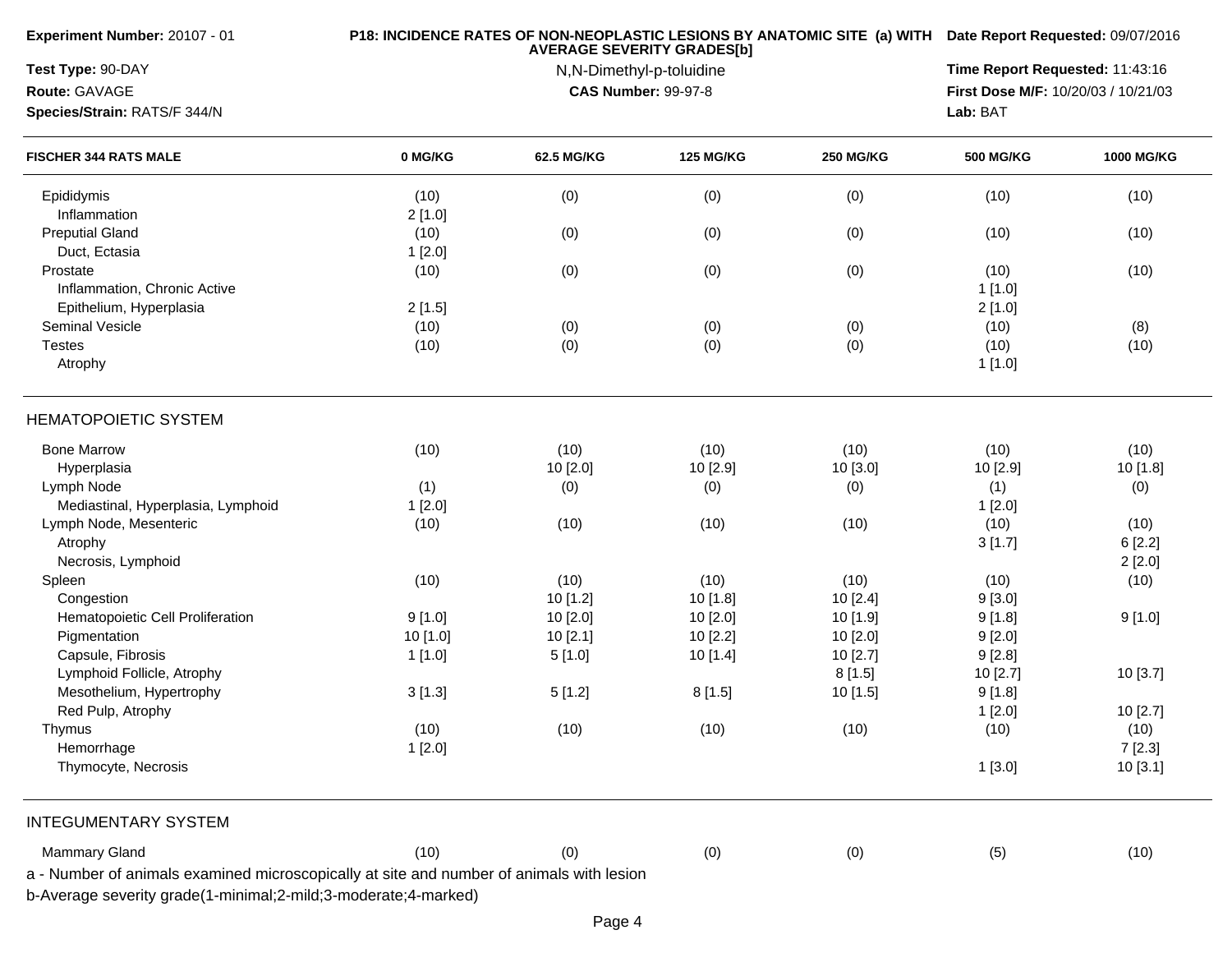| Test Type: 90-DAY<br>Time Report Requested: 11:43:16<br>N,N-Dimethyl-p-toluidine<br>Route: GAVAGE<br><b>CAS Number: 99-97-8</b><br>First Dose M/F: 10/20/03 / 10/21/03<br>Lab: BAT<br>Species/Strain: RATS/F 344/N<br><b>FISCHER 344 RATS MALE</b><br>0 MG/KG<br>62.5 MG/KG<br><b>125 MG/KG</b><br><b>250 MG/KG</b><br><b>500 MG/KG</b><br>(10)<br>(0)<br>(0)<br>(0)<br>(10)<br>Epididymis<br>Inflammation<br>2[1.0]<br><b>Preputial Gland</b><br>(10)<br>(0)<br>(0)<br>(0)<br>(10)<br>Duct, Ectasia<br>1[2.0]<br>(0)<br>(0)<br>(0)<br>(10)<br>Prostate<br>(10)<br>Inflammation, Chronic Active<br>1[1.0]<br>Epithelium, Hyperplasia<br>2[1.5]<br>2[1.0]<br>Seminal Vesicle<br>(10)<br>(0)<br>(0)<br>(0)<br>(10)<br>(0)<br>(0)<br>(10)<br>(0)<br><b>Testes</b><br>(10)<br>Atrophy<br>1[1.0]<br><b>HEMATOPOIETIC SYSTEM</b><br><b>Bone Marrow</b><br>(10)<br>(10)<br>(10)<br>(10)<br>(10)<br>10 [2.0]<br>10 [2.9]<br>10 [3.0]<br>10 [2.9]<br>Hyperplasia<br>Lymph Node<br>(0)<br>(1)<br>(0)<br>(0)<br>(1)<br>Mediastinal, Hyperplasia, Lymphoid<br>1[2.0]<br>1[2.0]<br>Lymph Node, Mesenteric<br>(10)<br>(10)<br>(10)<br>(10)<br>(10)<br>Atrophy<br>3[1.7]<br>Necrosis, Lymphoid<br>(10)<br>(10)<br>(10)<br>(10)<br>Spleen<br>(10)<br>10 [1.2]<br>10[1.8]<br>Congestion<br>10[2.4]<br>9[3.0]<br>Hematopoietic Cell Proliferation<br>9[1.0]<br>10 [2.0]<br>10 [2.0]<br>9[1.8]<br>10 [1.9]<br>Pigmentation<br>10 [1.0]<br>10[2.1]<br>10[2.2]<br>10[2.0]<br>9[2.0]<br>Capsule, Fibrosis<br>9[2.8]<br>1[1.0]<br>5[1.0]<br>10 [1.4]<br>10 [2.7]<br>Lymphoid Follicle, Atrophy<br>8[1.5]<br>10 [2.7]<br>Mesothelium, Hypertrophy<br>3[1.3]<br>5[1.2]<br>10 [1.5]<br>9[1.8]<br>8[1.5]<br>Red Pulp, Atrophy<br>1[2.0]<br>Thymus<br>(10)<br>(10)<br>(10)<br>(10)<br>(10)<br>Hemorrhage<br>1[2.0]<br>Thymocyte, Necrosis<br>1[3.0]<br><b>INTEGUMENTARY SYSTEM</b> | Experiment Number: 20107 - 01 |      | P18: INCIDENCE RATES OF NON-NEOPLASTIC LESIONS BY ANATOMIC SITE (a) WITH Date Report Requested: 09/07/2016<br><b>AVERAGE SEVERITY GRADES[b]</b> |     |     |     |                   |  |
|--------------------------------------------------------------------------------------------------------------------------------------------------------------------------------------------------------------------------------------------------------------------------------------------------------------------------------------------------------------------------------------------------------------------------------------------------------------------------------------------------------------------------------------------------------------------------------------------------------------------------------------------------------------------------------------------------------------------------------------------------------------------------------------------------------------------------------------------------------------------------------------------------------------------------------------------------------------------------------------------------------------------------------------------------------------------------------------------------------------------------------------------------------------------------------------------------------------------------------------------------------------------------------------------------------------------------------------------------------------------------------------------------------------------------------------------------------------------------------------------------------------------------------------------------------------------------------------------------------------------------------------------------------------------------------------------------------------------------------------------------------------------------------------------------------------------------------------------------------|-------------------------------|------|-------------------------------------------------------------------------------------------------------------------------------------------------|-----|-----|-----|-------------------|--|
|                                                                                                                                                                                                                                                                                                                                                                                                                                                                                                                                                                                                                                                                                                                                                                                                                                                                                                                                                                                                                                                                                                                                                                                                                                                                                                                                                                                                                                                                                                                                                                                                                                                                                                                                                                                                                                                        |                               |      |                                                                                                                                                 |     |     |     |                   |  |
|                                                                                                                                                                                                                                                                                                                                                                                                                                                                                                                                                                                                                                                                                                                                                                                                                                                                                                                                                                                                                                                                                                                                                                                                                                                                                                                                                                                                                                                                                                                                                                                                                                                                                                                                                                                                                                                        |                               |      |                                                                                                                                                 |     |     |     |                   |  |
|                                                                                                                                                                                                                                                                                                                                                                                                                                                                                                                                                                                                                                                                                                                                                                                                                                                                                                                                                                                                                                                                                                                                                                                                                                                                                                                                                                                                                                                                                                                                                                                                                                                                                                                                                                                                                                                        |                               |      |                                                                                                                                                 |     |     |     |                   |  |
|                                                                                                                                                                                                                                                                                                                                                                                                                                                                                                                                                                                                                                                                                                                                                                                                                                                                                                                                                                                                                                                                                                                                                                                                                                                                                                                                                                                                                                                                                                                                                                                                                                                                                                                                                                                                                                                        |                               |      |                                                                                                                                                 |     |     |     | <b>1000 MG/KG</b> |  |
|                                                                                                                                                                                                                                                                                                                                                                                                                                                                                                                                                                                                                                                                                                                                                                                                                                                                                                                                                                                                                                                                                                                                                                                                                                                                                                                                                                                                                                                                                                                                                                                                                                                                                                                                                                                                                                                        |                               |      |                                                                                                                                                 |     |     |     | (10)              |  |
|                                                                                                                                                                                                                                                                                                                                                                                                                                                                                                                                                                                                                                                                                                                                                                                                                                                                                                                                                                                                                                                                                                                                                                                                                                                                                                                                                                                                                                                                                                                                                                                                                                                                                                                                                                                                                                                        |                               |      |                                                                                                                                                 |     |     |     |                   |  |
|                                                                                                                                                                                                                                                                                                                                                                                                                                                                                                                                                                                                                                                                                                                                                                                                                                                                                                                                                                                                                                                                                                                                                                                                                                                                                                                                                                                                                                                                                                                                                                                                                                                                                                                                                                                                                                                        |                               |      |                                                                                                                                                 |     |     |     | (10)              |  |
|                                                                                                                                                                                                                                                                                                                                                                                                                                                                                                                                                                                                                                                                                                                                                                                                                                                                                                                                                                                                                                                                                                                                                                                                                                                                                                                                                                                                                                                                                                                                                                                                                                                                                                                                                                                                                                                        |                               |      |                                                                                                                                                 |     |     |     |                   |  |
|                                                                                                                                                                                                                                                                                                                                                                                                                                                                                                                                                                                                                                                                                                                                                                                                                                                                                                                                                                                                                                                                                                                                                                                                                                                                                                                                                                                                                                                                                                                                                                                                                                                                                                                                                                                                                                                        |                               |      |                                                                                                                                                 |     |     |     | (10)              |  |
|                                                                                                                                                                                                                                                                                                                                                                                                                                                                                                                                                                                                                                                                                                                                                                                                                                                                                                                                                                                                                                                                                                                                                                                                                                                                                                                                                                                                                                                                                                                                                                                                                                                                                                                                                                                                                                                        |                               |      |                                                                                                                                                 |     |     |     |                   |  |
|                                                                                                                                                                                                                                                                                                                                                                                                                                                                                                                                                                                                                                                                                                                                                                                                                                                                                                                                                                                                                                                                                                                                                                                                                                                                                                                                                                                                                                                                                                                                                                                                                                                                                                                                                                                                                                                        |                               |      |                                                                                                                                                 |     |     |     |                   |  |
|                                                                                                                                                                                                                                                                                                                                                                                                                                                                                                                                                                                                                                                                                                                                                                                                                                                                                                                                                                                                                                                                                                                                                                                                                                                                                                                                                                                                                                                                                                                                                                                                                                                                                                                                                                                                                                                        |                               |      |                                                                                                                                                 |     |     |     | (8)               |  |
|                                                                                                                                                                                                                                                                                                                                                                                                                                                                                                                                                                                                                                                                                                                                                                                                                                                                                                                                                                                                                                                                                                                                                                                                                                                                                                                                                                                                                                                                                                                                                                                                                                                                                                                                                                                                                                                        |                               |      |                                                                                                                                                 |     |     |     | (10)              |  |
|                                                                                                                                                                                                                                                                                                                                                                                                                                                                                                                                                                                                                                                                                                                                                                                                                                                                                                                                                                                                                                                                                                                                                                                                                                                                                                                                                                                                                                                                                                                                                                                                                                                                                                                                                                                                                                                        |                               |      |                                                                                                                                                 |     |     |     |                   |  |
|                                                                                                                                                                                                                                                                                                                                                                                                                                                                                                                                                                                                                                                                                                                                                                                                                                                                                                                                                                                                                                                                                                                                                                                                                                                                                                                                                                                                                                                                                                                                                                                                                                                                                                                                                                                                                                                        |                               |      |                                                                                                                                                 |     |     |     |                   |  |
|                                                                                                                                                                                                                                                                                                                                                                                                                                                                                                                                                                                                                                                                                                                                                                                                                                                                                                                                                                                                                                                                                                                                                                                                                                                                                                                                                                                                                                                                                                                                                                                                                                                                                                                                                                                                                                                        |                               |      |                                                                                                                                                 |     |     |     | (10)              |  |
|                                                                                                                                                                                                                                                                                                                                                                                                                                                                                                                                                                                                                                                                                                                                                                                                                                                                                                                                                                                                                                                                                                                                                                                                                                                                                                                                                                                                                                                                                                                                                                                                                                                                                                                                                                                                                                                        |                               |      |                                                                                                                                                 |     |     |     | 10 [1.8]          |  |
|                                                                                                                                                                                                                                                                                                                                                                                                                                                                                                                                                                                                                                                                                                                                                                                                                                                                                                                                                                                                                                                                                                                                                                                                                                                                                                                                                                                                                                                                                                                                                                                                                                                                                                                                                                                                                                                        |                               |      |                                                                                                                                                 |     |     |     | (0)               |  |
|                                                                                                                                                                                                                                                                                                                                                                                                                                                                                                                                                                                                                                                                                                                                                                                                                                                                                                                                                                                                                                                                                                                                                                                                                                                                                                                                                                                                                                                                                                                                                                                                                                                                                                                                                                                                                                                        |                               |      |                                                                                                                                                 |     |     |     |                   |  |
|                                                                                                                                                                                                                                                                                                                                                                                                                                                                                                                                                                                                                                                                                                                                                                                                                                                                                                                                                                                                                                                                                                                                                                                                                                                                                                                                                                                                                                                                                                                                                                                                                                                                                                                                                                                                                                                        |                               |      |                                                                                                                                                 |     |     |     | (10)              |  |
|                                                                                                                                                                                                                                                                                                                                                                                                                                                                                                                                                                                                                                                                                                                                                                                                                                                                                                                                                                                                                                                                                                                                                                                                                                                                                                                                                                                                                                                                                                                                                                                                                                                                                                                                                                                                                                                        |                               |      |                                                                                                                                                 |     |     |     | 6[2.2]            |  |
|                                                                                                                                                                                                                                                                                                                                                                                                                                                                                                                                                                                                                                                                                                                                                                                                                                                                                                                                                                                                                                                                                                                                                                                                                                                                                                                                                                                                                                                                                                                                                                                                                                                                                                                                                                                                                                                        |                               |      |                                                                                                                                                 |     |     |     | 2[2.0]            |  |
|                                                                                                                                                                                                                                                                                                                                                                                                                                                                                                                                                                                                                                                                                                                                                                                                                                                                                                                                                                                                                                                                                                                                                                                                                                                                                                                                                                                                                                                                                                                                                                                                                                                                                                                                                                                                                                                        |                               |      |                                                                                                                                                 |     |     |     | (10)              |  |
|                                                                                                                                                                                                                                                                                                                                                                                                                                                                                                                                                                                                                                                                                                                                                                                                                                                                                                                                                                                                                                                                                                                                                                                                                                                                                                                                                                                                                                                                                                                                                                                                                                                                                                                                                                                                                                                        |                               |      |                                                                                                                                                 |     |     |     |                   |  |
|                                                                                                                                                                                                                                                                                                                                                                                                                                                                                                                                                                                                                                                                                                                                                                                                                                                                                                                                                                                                                                                                                                                                                                                                                                                                                                                                                                                                                                                                                                                                                                                                                                                                                                                                                                                                                                                        |                               |      |                                                                                                                                                 |     |     |     | 9[1.0]            |  |
|                                                                                                                                                                                                                                                                                                                                                                                                                                                                                                                                                                                                                                                                                                                                                                                                                                                                                                                                                                                                                                                                                                                                                                                                                                                                                                                                                                                                                                                                                                                                                                                                                                                                                                                                                                                                                                                        |                               |      |                                                                                                                                                 |     |     |     |                   |  |
|                                                                                                                                                                                                                                                                                                                                                                                                                                                                                                                                                                                                                                                                                                                                                                                                                                                                                                                                                                                                                                                                                                                                                                                                                                                                                                                                                                                                                                                                                                                                                                                                                                                                                                                                                                                                                                                        |                               |      |                                                                                                                                                 |     |     |     |                   |  |
|                                                                                                                                                                                                                                                                                                                                                                                                                                                                                                                                                                                                                                                                                                                                                                                                                                                                                                                                                                                                                                                                                                                                                                                                                                                                                                                                                                                                                                                                                                                                                                                                                                                                                                                                                                                                                                                        |                               |      |                                                                                                                                                 |     |     |     | 10 [3.7]          |  |
|                                                                                                                                                                                                                                                                                                                                                                                                                                                                                                                                                                                                                                                                                                                                                                                                                                                                                                                                                                                                                                                                                                                                                                                                                                                                                                                                                                                                                                                                                                                                                                                                                                                                                                                                                                                                                                                        |                               |      |                                                                                                                                                 |     |     |     |                   |  |
|                                                                                                                                                                                                                                                                                                                                                                                                                                                                                                                                                                                                                                                                                                                                                                                                                                                                                                                                                                                                                                                                                                                                                                                                                                                                                                                                                                                                                                                                                                                                                                                                                                                                                                                                                                                                                                                        |                               |      |                                                                                                                                                 |     |     |     | 10 [2.7]          |  |
|                                                                                                                                                                                                                                                                                                                                                                                                                                                                                                                                                                                                                                                                                                                                                                                                                                                                                                                                                                                                                                                                                                                                                                                                                                                                                                                                                                                                                                                                                                                                                                                                                                                                                                                                                                                                                                                        |                               |      |                                                                                                                                                 |     |     |     | (10)              |  |
|                                                                                                                                                                                                                                                                                                                                                                                                                                                                                                                                                                                                                                                                                                                                                                                                                                                                                                                                                                                                                                                                                                                                                                                                                                                                                                                                                                                                                                                                                                                                                                                                                                                                                                                                                                                                                                                        |                               |      |                                                                                                                                                 |     |     |     | 7[2.3]            |  |
|                                                                                                                                                                                                                                                                                                                                                                                                                                                                                                                                                                                                                                                                                                                                                                                                                                                                                                                                                                                                                                                                                                                                                                                                                                                                                                                                                                                                                                                                                                                                                                                                                                                                                                                                                                                                                                                        |                               |      |                                                                                                                                                 |     |     |     | 10 [3.1]          |  |
|                                                                                                                                                                                                                                                                                                                                                                                                                                                                                                                                                                                                                                                                                                                                                                                                                                                                                                                                                                                                                                                                                                                                                                                                                                                                                                                                                                                                                                                                                                                                                                                                                                                                                                                                                                                                                                                        |                               |      |                                                                                                                                                 |     |     |     |                   |  |
|                                                                                                                                                                                                                                                                                                                                                                                                                                                                                                                                                                                                                                                                                                                                                                                                                                                                                                                                                                                                                                                                                                                                                                                                                                                                                                                                                                                                                                                                                                                                                                                                                                                                                                                                                                                                                                                        | <b>Mammary Gland</b>          | (10) | (0)                                                                                                                                             | (0) | (0) | (5) | (10)              |  |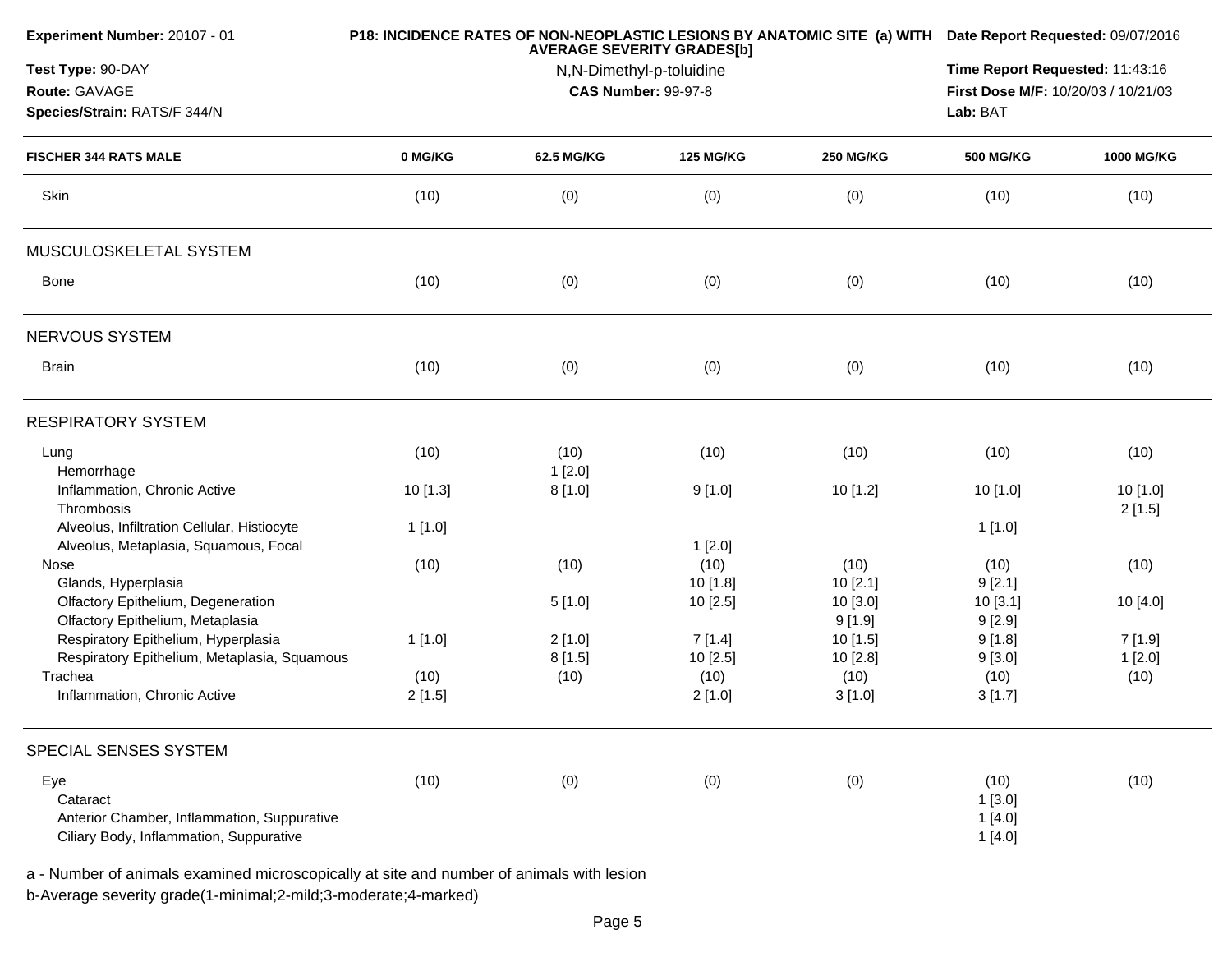| Experiment Number: 20107 - 01                                                        |          | <b>AVERAGE SEVERITY GRADES[b]</b> |                                 | P18: INCIDENCE RATES OF NON-NEOPLASTIC LESIONS BY ANATOMIC SITE (a) WITH Date Report Requested: 09/07/2016 |                  |                    |
|--------------------------------------------------------------------------------------|----------|-----------------------------------|---------------------------------|------------------------------------------------------------------------------------------------------------|------------------|--------------------|
| Test Type: 90-DAY                                                                    |          | N,N-Dimethyl-p-toluidine          | Time Report Requested: 11:43:16 |                                                                                                            |                  |                    |
| Route: GAVAGE                                                                        |          | <b>CAS Number: 99-97-8</b>        |                                 | First Dose M/F: 10/20/03 / 10/21/03                                                                        |                  |                    |
| Species/Strain: RATS/F 344/N                                                         |          |                                   |                                 | Lab: BAT                                                                                                   |                  |                    |
| <b>FISCHER 344 RATS MALE</b>                                                         | 0 MG/KG  | 62.5 MG/KG                        | <b>125 MG/KG</b>                | <b>250 MG/KG</b>                                                                                           | <b>500 MG/KG</b> | <b>1000 MG/KG</b>  |
| Skin                                                                                 | (10)     | (0)                               | (0)                             | (0)                                                                                                        | (10)             | (10)               |
| MUSCULOSKELETAL SYSTEM                                                               |          |                                   |                                 |                                                                                                            |                  |                    |
| Bone                                                                                 | (10)     | (0)                               | (0)                             | (0)                                                                                                        | (10)             | (10)               |
| NERVOUS SYSTEM                                                                       |          |                                   |                                 |                                                                                                            |                  |                    |
| <b>Brain</b>                                                                         | (10)     | (0)                               | (0)                             | (0)                                                                                                        | (10)             | (10)               |
| <b>RESPIRATORY SYSTEM</b>                                                            |          |                                   |                                 |                                                                                                            |                  |                    |
| Lung<br>Hemorrhage                                                                   | (10)     | (10)<br>1[2.0]                    | (10)                            | (10)                                                                                                       | (10)             | (10)               |
| Inflammation, Chronic Active<br>Thrombosis                                           | 10 [1.3] | 8[1.0]                            | 9[1.0]                          | 10 [1.2]                                                                                                   | 10 [1.0]         | 10 [1.0]<br>2[1.5] |
| Alveolus, Infiltration Cellular, Histiocyte<br>Alveolus, Metaplasia, Squamous, Focal | 1[1.0]   |                                   | 1[2.0]                          |                                                                                                            | 1[1.0]           |                    |
| Nose                                                                                 | (10)     | (10)                              | (10)                            | (10)                                                                                                       | (10)             | (10)               |
| Glands, Hyperplasia                                                                  |          |                                   | 10 [1.8]                        | 10[2.1]                                                                                                    | 9[2.1]           |                    |
| Olfactory Epithelium, Degeneration                                                   |          | 5[1.0]                            | 10[2.5]                         | 10 [3.0]                                                                                                   | 10 [3.1]         | 10 [4.0]           |
| Olfactory Epithelium, Metaplasia                                                     |          |                                   |                                 | 9[1.9]                                                                                                     | 9[2.9]           |                    |
| Respiratory Epithelium, Hyperplasia                                                  | 1[1.0]   | 2[1.0]                            | 7[1.4]                          | 10 [1.5]                                                                                                   | 9[1.8]           | 7[1.9]             |
| Respiratory Epithelium, Metaplasia, Squamous                                         |          | 8[1.5]                            | 10[2.5]                         | 10 [2.8]                                                                                                   | 9[3.0]           | 1[2.0]             |
| Trachea                                                                              | (10)     | (10)                              | (10)                            | (10)                                                                                                       | (10)             | (10)               |
| Inflammation, Chronic Active                                                         | 2[1.5]   |                                   | 2[1.0]                          | 3[1.0]                                                                                                     | 3[1.7]           |                    |
| SPECIAL SENSES SYSTEM                                                                |          |                                   |                                 |                                                                                                            |                  |                    |
| Eye                                                                                  | (10)     | (0)                               | (0)                             | (0)                                                                                                        | (10)             | (10)               |
| Cataract                                                                             |          |                                   |                                 |                                                                                                            | 1[3.0]           |                    |
| Anterior Chamber, Inflammation, Suppurative                                          |          |                                   |                                 |                                                                                                            | 1[4.0]           |                    |
| Ciliary Body, Inflammation, Suppurative                                              |          |                                   |                                 |                                                                                                            | 1[4.0]           |                    |
|                                                                                      |          |                                   |                                 |                                                                                                            |                  |                    |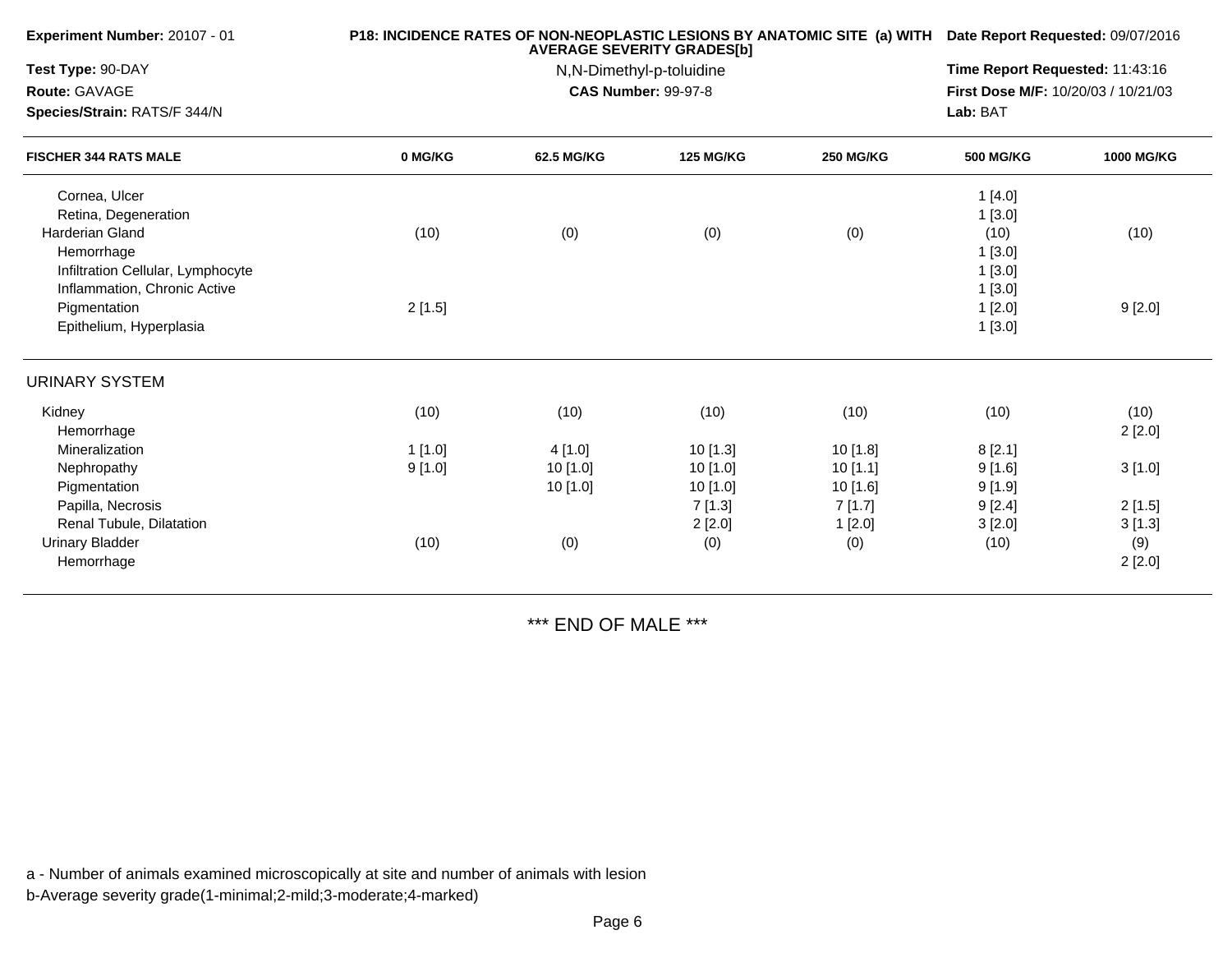| Experiment Number: 20107 - 01     |         | P18: INCIDENCE RATES OF NON-NEOPLASTIC LESIONS BY ANATOMIC SITE (a) WITH Date Report Requested: 09/07/2016<br><b>AVERAGE SEVERITY GRADES[b]</b><br>N,N-Dimethyl-p-toluidine |                  |                  |                                     |                   |  |
|-----------------------------------|---------|-----------------------------------------------------------------------------------------------------------------------------------------------------------------------------|------------------|------------------|-------------------------------------|-------------------|--|
| Test Type: 90-DAY                 |         |                                                                                                                                                                             |                  |                  |                                     |                   |  |
| Route: GAVAGE                     |         | <b>CAS Number: 99-97-8</b>                                                                                                                                                  |                  |                  | First Dose M/F: 10/20/03 / 10/21/03 |                   |  |
| Species/Strain: RATS/F 344/N      |         |                                                                                                                                                                             |                  |                  | Lab: BAT                            |                   |  |
| <b>FISCHER 344 RATS MALE</b>      | 0 MG/KG | <b>62.5 MG/KG</b>                                                                                                                                                           | <b>125 MG/KG</b> | <b>250 MG/KG</b> | <b>500 MG/KG</b>                    | <b>1000 MG/KG</b> |  |
| Cornea, Ulcer                     |         |                                                                                                                                                                             |                  |                  | 1[4.0]                              |                   |  |
| Retina, Degeneration              |         |                                                                                                                                                                             |                  |                  | 1[3.0]                              |                   |  |
| <b>Harderian Gland</b>            | (10)    | (0)                                                                                                                                                                         | (0)              | (0)              | (10)                                | (10)              |  |
| Hemorrhage                        |         |                                                                                                                                                                             |                  |                  | 1[3.0]                              |                   |  |
| Infiltration Cellular, Lymphocyte |         |                                                                                                                                                                             |                  |                  | 1[3.0]                              |                   |  |
| Inflammation, Chronic Active      |         |                                                                                                                                                                             |                  |                  | 1[3.0]                              |                   |  |
| Pigmentation                      | 2[1.5]  |                                                                                                                                                                             |                  |                  | 1[2.0]                              | 9[2.0]            |  |
| Epithelium, Hyperplasia           |         |                                                                                                                                                                             |                  |                  | 1[3.0]                              |                   |  |
| <b>URINARY SYSTEM</b>             |         |                                                                                                                                                                             |                  |                  |                                     |                   |  |
| Kidney                            | (10)    | (10)                                                                                                                                                                        | (10)             | (10)             | (10)                                | (10)              |  |
| Hemorrhage                        |         |                                                                                                                                                                             |                  |                  |                                     | 2[2.0]            |  |
| Mineralization                    | 1[1.0]  | 4[1.0]                                                                                                                                                                      | 10[1.3]          | 10[1.8]          | 8[2.1]                              |                   |  |
| Nephropathy                       | 9[1.0]  | $10$ [1.0]                                                                                                                                                                  | 10 [1.0]         | 10[1.1]          | 9[1.6]                              | 3[1.0]            |  |
| Pigmentation                      |         | 10[1.0]                                                                                                                                                                     | 10[1.0]          | $10$ [1.6]       | 9[1.9]                              |                   |  |
| Papilla, Necrosis                 |         |                                                                                                                                                                             | 7[1.3]           | 7[1.7]           | 9[2.4]                              | 2[1.5]            |  |
| Renal Tubule, Dilatation          |         |                                                                                                                                                                             | 2[2.0]           | 1[2.0]           | 3[2.0]                              | 3[1.3]            |  |
| <b>Urinary Bladder</b>            | (10)    | (0)                                                                                                                                                                         | (0)              | (0)              | (10)                                | (9)               |  |
| Hemorrhage                        |         |                                                                                                                                                                             |                  |                  |                                     | 2[2.0]            |  |
|                                   |         |                                                                                                                                                                             |                  |                  |                                     |                   |  |

\*\*\* END OF MALE \*\*\*

a - Number of animals examined microscopically at site and number of animals with lesion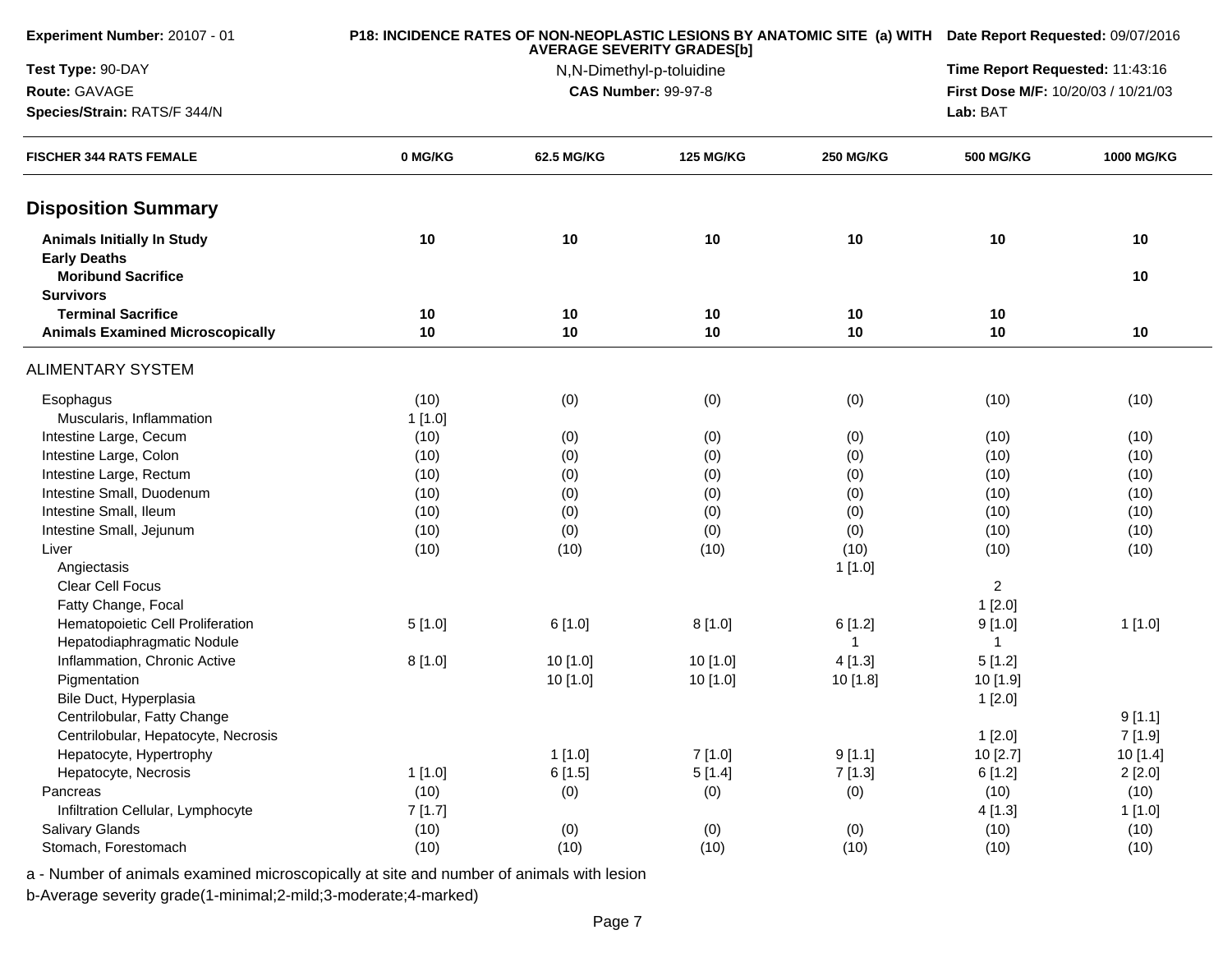| Experiment Number: 20107 - 01                                        |         |                                                        | <b>AVERAGE SEVERITY GRADES[b]</b> |                  |                  | P18: INCIDENCE RATES OF NON-NEOPLASTIC LESIONS BY ANATOMIC SITE (a) WITH Date Report Requested: 09/07/2016 |  |
|----------------------------------------------------------------------|---------|--------------------------------------------------------|-----------------------------------|------------------|------------------|------------------------------------------------------------------------------------------------------------|--|
| Test Type: 90-DAY                                                    |         | N,N-Dimethyl-p-toluidine<br><b>CAS Number: 99-97-8</b> |                                   |                  |                  |                                                                                                            |  |
| Route: GAVAGE                                                        |         |                                                        |                                   |                  |                  |                                                                                                            |  |
| Species/Strain: RATS/F 344/N                                         |         |                                                        |                                   | Lab: BAT         |                  |                                                                                                            |  |
| <b>FISCHER 344 RATS FEMALE</b>                                       | 0 MG/KG | 62.5 MG/KG                                             | <b>125 MG/KG</b>                  | <b>250 MG/KG</b> | <b>500 MG/KG</b> | 1000 MG/KG                                                                                                 |  |
| <b>Disposition Summary</b>                                           |         |                                                        |                                   |                  |                  |                                                                                                            |  |
| <b>Animals Initially In Study</b>                                    | 10      | 10                                                     | 10                                | 10               | 10               | 10                                                                                                         |  |
| <b>Early Deaths</b><br><b>Moribund Sacrifice</b><br><b>Survivors</b> |         |                                                        |                                   |                  |                  | 10                                                                                                         |  |
| <b>Terminal Sacrifice</b>                                            | 10      | 10                                                     | 10                                | 10               | 10               |                                                                                                            |  |
| <b>Animals Examined Microscopically</b>                              | 10      | 10                                                     | 10                                | 10               | 10               | 10                                                                                                         |  |
| <b>ALIMENTARY SYSTEM</b>                                             |         |                                                        |                                   |                  |                  |                                                                                                            |  |
| Esophagus                                                            | (10)    | (0)                                                    | (0)                               | (0)              | (10)             | (10)                                                                                                       |  |
| Muscularis, Inflammation                                             | 1[1.0]  |                                                        |                                   |                  |                  |                                                                                                            |  |
| Intestine Large, Cecum                                               | (10)    | (0)                                                    | (0)                               | (0)              | (10)             | (10)                                                                                                       |  |
| Intestine Large, Colon                                               | (10)    | (0)                                                    | (0)                               | (0)              | (10)             | (10)                                                                                                       |  |
| Intestine Large, Rectum                                              | (10)    | (0)                                                    | (0)                               | (0)              | (10)             | (10)                                                                                                       |  |
| Intestine Small, Duodenum                                            | (10)    | (0)                                                    | (0)                               | (0)              | (10)             | (10)                                                                                                       |  |
| Intestine Small, Ileum                                               | (10)    | (0)                                                    | (0)                               | (0)              | (10)             | (10)                                                                                                       |  |
| Intestine Small, Jejunum                                             | (10)    | (0)                                                    | (0)                               | (0)              | (10)             | (10)                                                                                                       |  |
| Liver                                                                | (10)    | (10)                                                   | (10)                              | (10)             | (10)             | (10)                                                                                                       |  |
| Angiectasis                                                          |         |                                                        |                                   | 1[1.0]           |                  |                                                                                                            |  |
| <b>Clear Cell Focus</b>                                              |         |                                                        |                                   |                  | $\overline{2}$   |                                                                                                            |  |
| Fatty Change, Focal                                                  |         |                                                        |                                   |                  | 1[2.0]           |                                                                                                            |  |
| Hematopoietic Cell Proliferation                                     | 5[1.0]  | 6[1.0]                                                 | 8[1.0]                            | 6[1.2]           | 9[1.0]           | 1[1.0]                                                                                                     |  |
| Hepatodiaphragmatic Nodule                                           |         |                                                        |                                   |                  | 1                |                                                                                                            |  |
| Inflammation, Chronic Active                                         | 8[1.0]  | 10[1.0]                                                | 10 [1.0]                          | 4[1.3]           | 5[1.2]           |                                                                                                            |  |
| Pigmentation                                                         |         | 10 [1.0]                                               | 10 [1.0]                          | 10 [1.8]         | 10 [1.9]         |                                                                                                            |  |
| Bile Duct, Hyperplasia                                               |         |                                                        |                                   |                  | 1[2.0]           |                                                                                                            |  |
| Centrilobular, Fatty Change                                          |         |                                                        |                                   |                  |                  | 9[1.1]                                                                                                     |  |
| Centrilobular, Hepatocyte, Necrosis                                  |         |                                                        |                                   |                  | 1[2.0]           | 7[1.9]                                                                                                     |  |
| Hepatocyte, Hypertrophy                                              |         | 1[1.0]                                                 | 7[1.0]                            | 9[1.1]           | 10 [2.7]         | 10 [1.4]                                                                                                   |  |
| Hepatocyte, Necrosis                                                 | 1[1.0]  | 6[1.5]                                                 | 5[1.4]                            | 7[1.3]           | 6[1.2]           | 2[2.0]                                                                                                     |  |
| Pancreas                                                             | (10)    | (0)                                                    | (0)                               | (0)              | (10)             | (10)                                                                                                       |  |
| Infiltration Cellular, Lymphocyte                                    | 7[1.7]  |                                                        |                                   |                  | 4[1.3]           | 1[1.0]                                                                                                     |  |
| Salivary Glands                                                      | (10)    | (0)                                                    | (0)                               | (0)              | (10)             | (10)                                                                                                       |  |
| Stomach, Forestomach                                                 | (10)    | (10)                                                   | (10)                              | (10)             | (10)             | (10)                                                                                                       |  |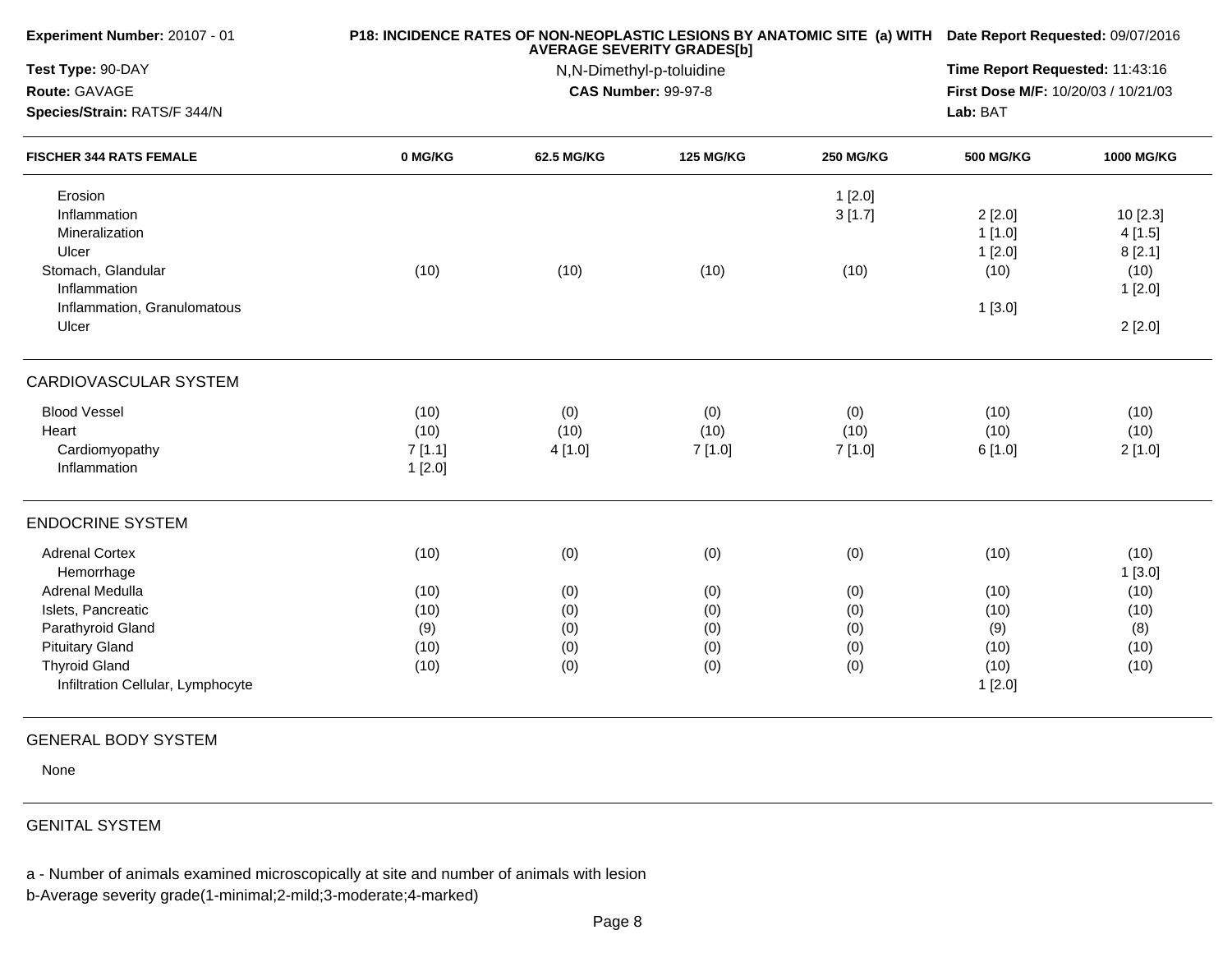|         | <b>AVERAGE SEVERITY GRADES[b]</b> |                  |                  |                                     |            |  |
|---------|-----------------------------------|------------------|------------------|-------------------------------------|------------|--|
|         | N,N-Dimethyl-p-toluidine          |                  |                  |                                     |            |  |
|         | <b>CAS Number: 99-97-8</b>        |                  |                  | First Dose M/F: 10/20/03 / 10/21/03 |            |  |
|         |                                   |                  |                  | Lab: BAT                            |            |  |
| 0 MG/KG | 62.5 MG/KG                        | <b>125 MG/KG</b> | <b>250 MG/KG</b> | <b>500 MG/KG</b>                    | 1000 MG/KG |  |
|         |                                   |                  |                  |                                     |            |  |
|         |                                   |                  | 3[1.7]           | 2[2.0]                              | 10 [2.3]   |  |
|         |                                   |                  |                  | 1[1.0]                              | 4[1.5]     |  |
|         |                                   |                  |                  | 1[2.0]                              | 8[2.1]     |  |
| (10)    | (10)                              | (10)             | (10)             | (10)                                | (10)       |  |
|         |                                   |                  |                  |                                     | 1[2.0]     |  |
|         |                                   |                  |                  | 1[3.0]                              |            |  |
|         |                                   |                  |                  |                                     | 2[2.0]     |  |
|         |                                   |                  |                  |                                     |            |  |
| (10)    | (0)                               | (0)              | (0)              | (10)                                | (10)       |  |
| (10)    | (10)                              | (10)             | (10)             | (10)                                | (10)       |  |
| 7[1.1]  | 4 [1.0]                           | 7[1.0]           | 7[1.0]           | 6[1.0]                              | 2[1.0]     |  |
| 1[2.0]  |                                   |                  |                  |                                     |            |  |
|         |                                   |                  |                  |                                     |            |  |
| (10)    |                                   |                  |                  | (10)                                | (10)       |  |
|         |                                   |                  |                  |                                     | 1[3.0]     |  |
| (10)    | (0)                               | (0)              | (0)              | (10)                                | (10)       |  |
| (10)    | (0)                               | (0)              | (0)              | (10)                                | (10)       |  |
| (9)     | (0)                               | (0)              | (0)              | (9)                                 | (8)        |  |
| (10)    | (0)                               | (0)              | (0)              | (10)                                | (10)       |  |
| (10)    | (0)                               | (0)              | (0)              | (10)                                | (10)       |  |
|         |                                   |                  |                  | 1[2.0]                              |            |  |
|         |                                   | (0)              | (0)              | 1[2.0]<br>(0)                       |            |  |

## GENERAL BODY SYSTEM

None

## GENITAL SYSTEM

a - Number of animals examined microscopically at site and number of animals with lesion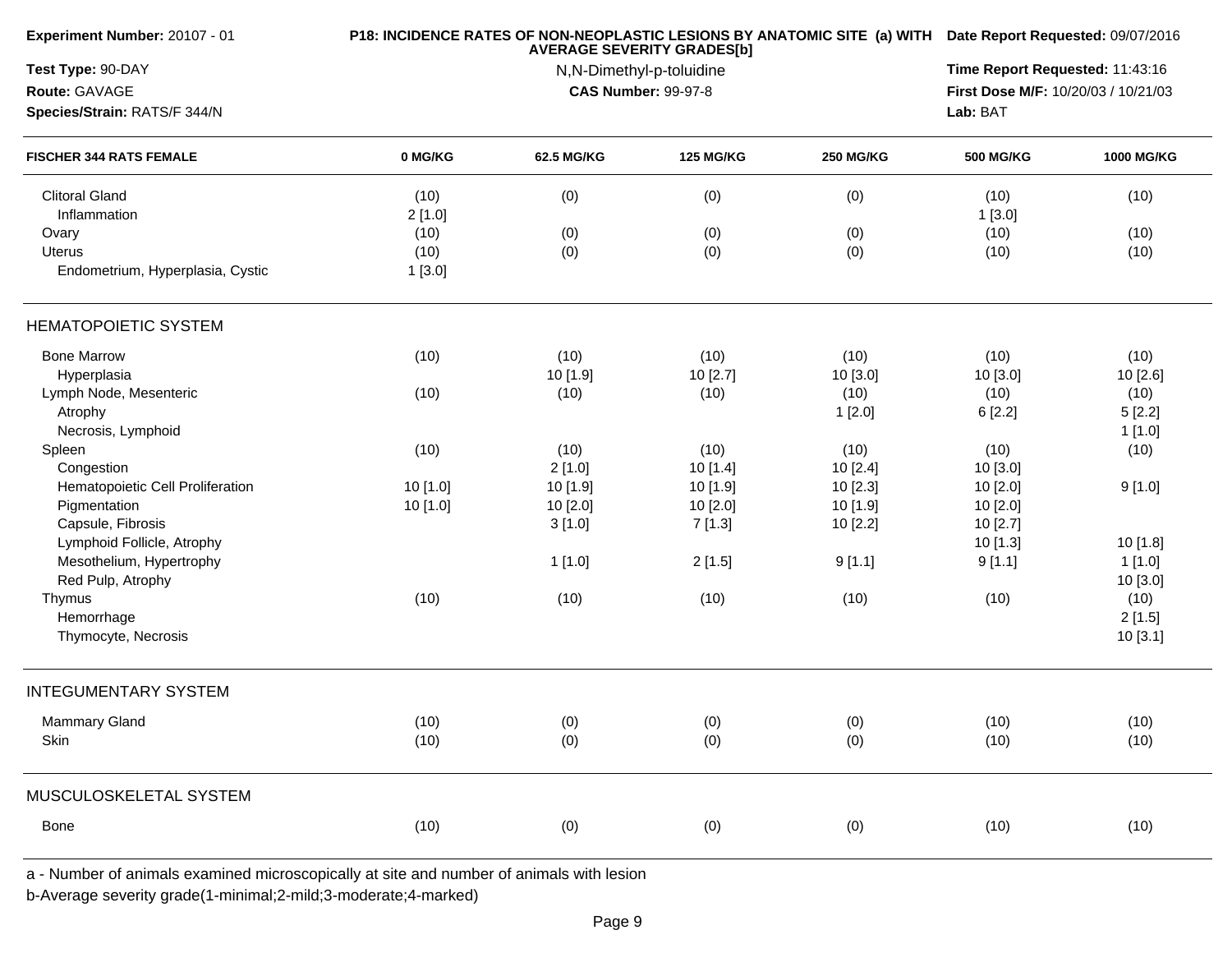| <b>Experiment Number: 20107 - 01</b>  |                | P18: INCIDENCE RATES OF NON-NEOPLASTIC LESIONS BY ANATOMIC SITE (a) WITH Date Report Requested: 09/07/2016<br><b>AVERAGE SEVERITY GRADES[b]</b><br>N,N-Dimethyl-p-toluidine |                  |                  |                  |            |  |
|---------------------------------------|----------------|-----------------------------------------------------------------------------------------------------------------------------------------------------------------------------|------------------|------------------|------------------|------------|--|
| Test Type: 90-DAY                     |                |                                                                                                                                                                             |                  |                  |                  |            |  |
| Route: GAVAGE                         |                | First Dose M/F: 10/20/03 / 10/21/03                                                                                                                                         |                  |                  |                  |            |  |
| Species/Strain: RATS/F 344/N          |                |                                                                                                                                                                             | Lab: BAT         |                  |                  |            |  |
| <b>FISCHER 344 RATS FEMALE</b>        | 0 MG/KG        | 62.5 MG/KG                                                                                                                                                                  | <b>125 MG/KG</b> | <b>250 MG/KG</b> | <b>500 MG/KG</b> | 1000 MG/KG |  |
| <b>Clitoral Gland</b><br>Inflammation | (10)<br>2[1.0] | (0)                                                                                                                                                                         | (0)              | (0)              | (10)<br>1[3.0]   | (10)       |  |
| Ovary                                 | (10)           | (0)                                                                                                                                                                         | (0)              | (0)              | (10)             | (10)       |  |
| <b>Uterus</b>                         | (10)           | (0)                                                                                                                                                                         | (0)              | (0)              | (10)             | (10)       |  |
| Endometrium, Hyperplasia, Cystic      | 1[3.0]         |                                                                                                                                                                             |                  |                  |                  |            |  |
| <b>HEMATOPOIETIC SYSTEM</b>           |                |                                                                                                                                                                             |                  |                  |                  |            |  |
| <b>Bone Marrow</b>                    | (10)           | (10)                                                                                                                                                                        | (10)             | (10)             | (10)             | (10)       |  |
| Hyperplasia                           |                | 10 [1.9]                                                                                                                                                                    | 10[2.7]          | 10 [3.0]         | 10 [3.0]         | 10 [2.6]   |  |
| Lymph Node, Mesenteric                | (10)           | (10)                                                                                                                                                                        | (10)             | (10)             | (10)             | (10)       |  |
| Atrophy                               |                |                                                                                                                                                                             |                  | 1[2.0]           | 6[2.2]           | 5[2.2]     |  |
| Necrosis, Lymphoid                    |                |                                                                                                                                                                             |                  |                  |                  | 1[1.0]     |  |
| Spleen                                | (10)           | (10)                                                                                                                                                                        | (10)             | (10)             | (10)             | (10)       |  |
| Congestion                            |                | 2[1.0]                                                                                                                                                                      | 10[1.4]          | 10 [2.4]         | 10 [3.0]         |            |  |
| Hematopoietic Cell Proliferation      | 10[1.0]        | 10 [1.9]                                                                                                                                                                    | 10 [1.9]         | 10 [2.3]         | 10 [2.0]         | 9[1.0]     |  |
| Pigmentation                          | 10 [1.0]       | 10 [2.0]                                                                                                                                                                    | 10 [2.0]         | 10 [1.9]         | 10 [2.0]         |            |  |
| Capsule, Fibrosis                     |                | 3[1.0]                                                                                                                                                                      | 7[1.3]           | 10 [2.2]         | 10 [2.7]         |            |  |
| Lymphoid Follicle, Atrophy            |                |                                                                                                                                                                             |                  |                  | 10 [1.3]         | 10 [1.8]   |  |
| Mesothelium, Hypertrophy              |                | 1[1.0]                                                                                                                                                                      | 2[1.5]           | 9[1.1]           | 9[1.1]           | 1[1.0]     |  |
| Red Pulp, Atrophy                     |                |                                                                                                                                                                             |                  |                  |                  | 10 [3.0]   |  |
| Thymus                                | (10)           | (10)                                                                                                                                                                        | (10)             | (10)             | (10)             | (10)       |  |
| Hemorrhage                            |                |                                                                                                                                                                             |                  |                  |                  | 2[1.5]     |  |
| Thymocyte, Necrosis                   |                |                                                                                                                                                                             |                  |                  |                  | 10[3.1]    |  |
| <b>INTEGUMENTARY SYSTEM</b>           |                |                                                                                                                                                                             |                  |                  |                  |            |  |
| Mammary Gland                         | (10)           | (0)                                                                                                                                                                         | (0)              | (0)              | (10)             | (10)       |  |
| Skin                                  | (10)           | (0)                                                                                                                                                                         | (0)              | (0)              | (10)             | (10)       |  |
| MUSCULOSKELETAL SYSTEM                |                |                                                                                                                                                                             |                  |                  |                  |            |  |
| Bone                                  | (10)           | (0)                                                                                                                                                                         | (0)              | (0)              | (10)             | (10)       |  |
|                                       |                |                                                                                                                                                                             |                  |                  |                  |            |  |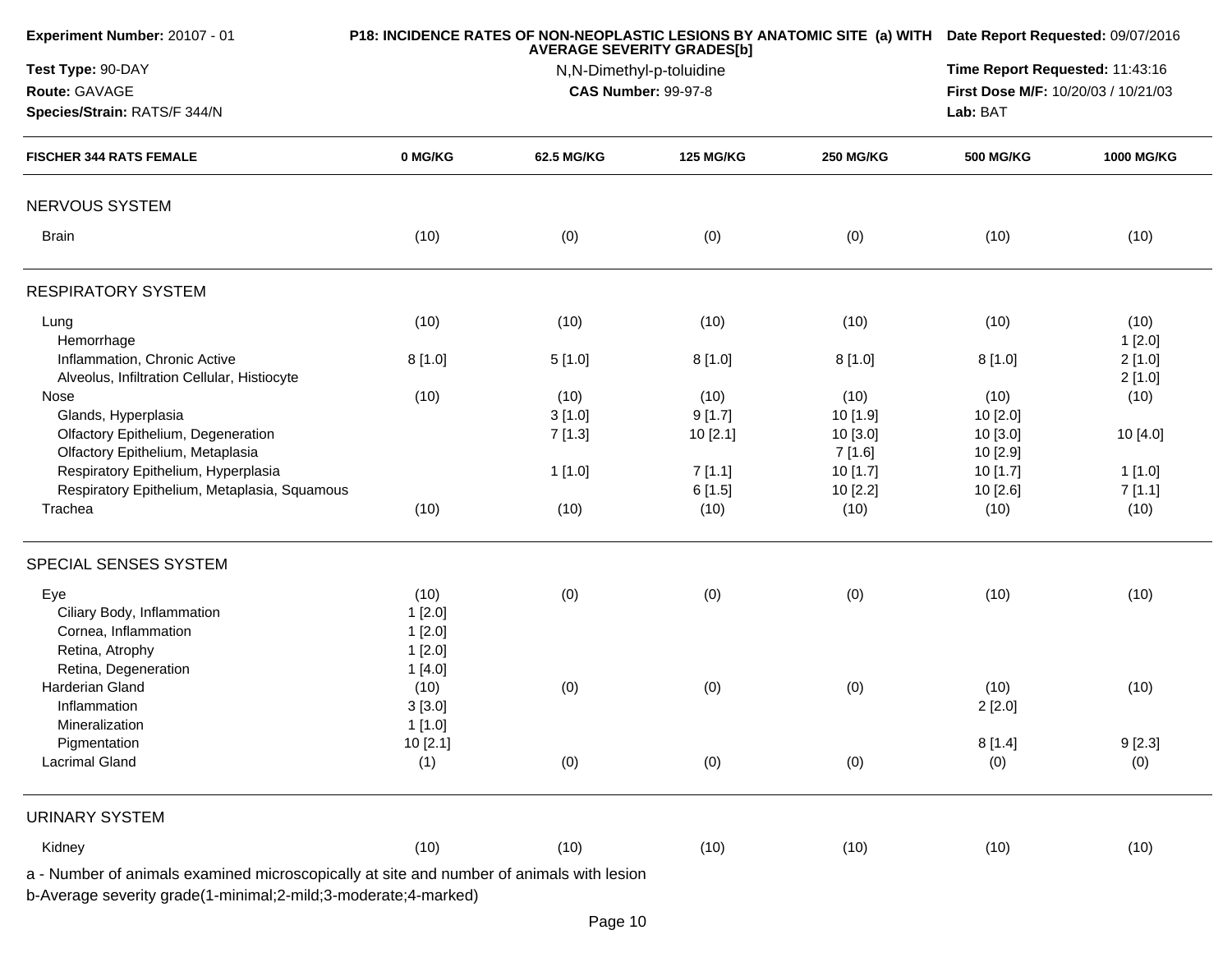| Test Type: 90-DAY<br>Route: GAVAGE                                                       |          | N,N-Dimethyl-p-toluidine |                            |                  | Time Report Requested: 11:43:16<br>First Dose M/F: 10/20/03 / 10/21/03 |                  |  |
|------------------------------------------------------------------------------------------|----------|--------------------------|----------------------------|------------------|------------------------------------------------------------------------|------------------|--|
|                                                                                          |          |                          |                            |                  |                                                                        |                  |  |
|                                                                                          |          |                          | <b>CAS Number: 99-97-8</b> |                  |                                                                        |                  |  |
| Species/Strain: RATS/F 344/N                                                             |          |                          |                            |                  | Lab: BAT                                                               |                  |  |
| <b>FISCHER 344 RATS FEMALE</b>                                                           | 0 MG/KG  | 62.5 MG/KG               | <b>125 MG/KG</b>           | <b>250 MG/KG</b> | <b>500 MG/KG</b>                                                       | 1000 MG/KG       |  |
| NERVOUS SYSTEM                                                                           |          |                          |                            |                  |                                                                        |                  |  |
| <b>Brain</b>                                                                             | (10)     | (0)                      | (0)                        | (0)              | (10)                                                                   | (10)             |  |
| <b>RESPIRATORY SYSTEM</b>                                                                |          |                          |                            |                  |                                                                        |                  |  |
| Lung<br>Hemorrhage                                                                       | (10)     | (10)                     | (10)                       | (10)             | (10)                                                                   | (10)<br>1[2.0]   |  |
| Inflammation, Chronic Active<br>Alveolus, Infiltration Cellular, Histiocyte              | 8[1.0]   | 5[1.0]                   | 8[1.0]                     | 8[1.0]           | 8[1.0]                                                                 | 2[1.0]<br>2[1.0] |  |
| Nose                                                                                     | (10)     | (10)                     | (10)                       | (10)             | (10)                                                                   | (10)             |  |
| Glands, Hyperplasia                                                                      |          | 3[1.0]                   | 9[1.7]                     | 10 [1.9]         | 10 [2.0]                                                               |                  |  |
| Olfactory Epithelium, Degeneration                                                       |          | 7[1.3]                   | 10[2.1]                    | 10[3.0]          | 10 [3.0]                                                               | 10 [4.0]         |  |
| Olfactory Epithelium, Metaplasia                                                         |          |                          |                            | 7[1.6]           | 10 [2.9]                                                               |                  |  |
| Respiratory Epithelium, Hyperplasia                                                      |          | 1[1.0]                   | 7[1.1]                     | 10[1.7]          | 10[1.7]                                                                | 1[1.0]           |  |
| Respiratory Epithelium, Metaplasia, Squamous                                             |          |                          | 6[1.5]                     | 10 [2.2]         | 10 [2.6]                                                               | 7[1.1]           |  |
| Trachea                                                                                  | (10)     | (10)                     | (10)                       | (10)             | (10)                                                                   | (10)             |  |
| SPECIAL SENSES SYSTEM                                                                    |          |                          |                            |                  |                                                                        |                  |  |
| Eye                                                                                      | (10)     | (0)                      | (0)                        | (0)              | (10)                                                                   | (10)             |  |
| Ciliary Body, Inflammation                                                               | 1[2.0]   |                          |                            |                  |                                                                        |                  |  |
| Cornea, Inflammation                                                                     | 1[2.0]   |                          |                            |                  |                                                                        |                  |  |
| Retina, Atrophy                                                                          | 1[2.0]   |                          |                            |                  |                                                                        |                  |  |
| Retina, Degeneration                                                                     | 1[4.0]   |                          |                            |                  |                                                                        |                  |  |
| Harderian Gland                                                                          | (10)     | (0)                      | (0)                        | (0)              | (10)                                                                   | (10)             |  |
| Inflammation                                                                             | 3[3.0]   |                          |                            |                  | 2[2.0]                                                                 |                  |  |
| Mineralization                                                                           | 1[1.0]   |                          |                            |                  |                                                                        |                  |  |
| Pigmentation                                                                             | 10 [2.1] |                          |                            |                  | 8[1.4]                                                                 | 9[2.3]           |  |
| <b>Lacrimal Gland</b>                                                                    | (1)      | (0)                      | (0)                        | (0)              | (0)                                                                    | (0)              |  |
| <b>URINARY SYSTEM</b>                                                                    |          |                          |                            |                  |                                                                        |                  |  |
| Kidney                                                                                   | (10)     | (10)                     | (10)                       | (10)             | (10)                                                                   | (10)             |  |
| a - Number of animals examined microscopically at site and number of animals with lesion |          |                          |                            |                  |                                                                        |                  |  |